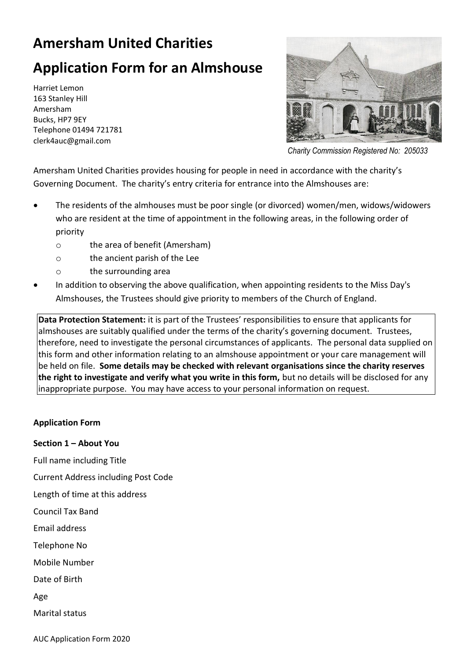## **Amersham United Charities**

# **Application Form for an Almshouse**

Harriet Lemon 163 Stanley Hill Amersham Bucks, HP7 9EY Telephone 01494 721781 clerk4auc@gmail.com



*Charity Commission Registered No: 205033*

Amersham United Charities provides housing for people in need in accordance with the charity's Governing Document. The charity's entry criteria for entrance into the Almshouses are:

- The residents of the almhouses must be poor single (or divorced) women/men, widows/widowers who are resident at the time of appointment in the following areas, in the following order of priority
	- o the area of benefit (Amersham)
	- o the ancient parish of the Lee
	- o the surrounding area
- In addition to observing the above qualification, when appointing residents to the Miss Day's Almshouses, the Trustees should give priority to members of the Church of England.

**Data Protection Statement:** it is part of the Trustees' responsibilities to ensure that applicants for almshouses are suitably qualified under the terms of the charity's governing document. Trustees, therefore, need to investigate the personal circumstances of applicants. The personal data supplied on this form and other information relating to an almshouse appointment or your care management will be held on file. **Some details may be checked with relevant organisations since the charity reserves the right to investigate and verify what you write in this form,** but no details will be disclosed for any inappropriate purpose. You may have access to your personal information on request.

## **Application Form**

**Section 1 – About You**

Full name including Title

Current Address including Post Code

Length of time at this address

Council Tax Band

Email address

Telephone No

Mobile Number

Date of Birth

Age

Marital status

AUC Application Form 2020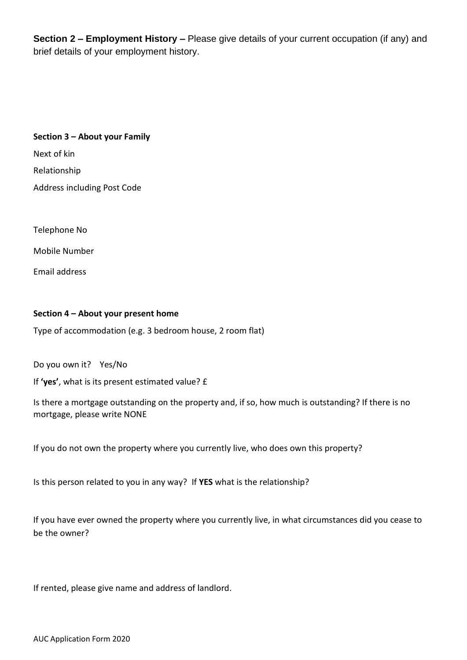**Section 2 – Employment History –** Please give details of your current occupation (if any) and brief details of your employment history.

## **Section 3 – About your Family**

Next of kin

Relationship

Address including Post Code

Telephone No

Mobile Number

Email address

#### **Section 4 – About your present home**

Type of accommodation (e.g. 3 bedroom house, 2 room flat)

Do you own it? Yes/No

If **'yes'**, what is its present estimated value? £

Is there a mortgage outstanding on the property and, if so, how much is outstanding? If there is no mortgage, please write NONE

If you do not own the property where you currently live, who does own this property?

Is this person related to you in any way? If **YES** what is the relationship?

If you have ever owned the property where you currently live, in what circumstances did you cease to be the owner?

If rented, please give name and address of landlord.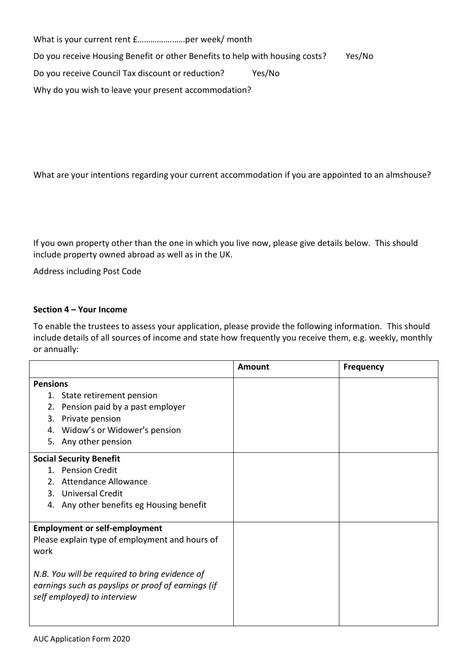What is your current rent £…………….……per week/ month Do you receive Housing Benefit or other Benefits to help with housing costs? Yes/No Do you receive Council Tax discount or reduction? Yes/No Why do you wish to leave your present accommodation?

What are your intentions regarding your current accommodation if you are appointed to an almshouse?

If you own property other than the one in which you live now, please give details below. This should include property owned abroad as well as in the UK.

Address including Post Code

#### **Section 4 – Your Income**

To enable the trustees to assess your application, please provide the following information. This should include details of all sources of income and state how frequently you receive them, e.g. weekly, monthly or annually:

|                                                                                   |                                          | <b>Amount</b> | <b>Frequency</b> |
|-----------------------------------------------------------------------------------|------------------------------------------|---------------|------------------|
| <b>Pensions</b>                                                                   |                                          |               |                  |
|                                                                                   | 1. State retirement pension              |               |                  |
| 2.                                                                                | Pension paid by a past employer          |               |                  |
| 3.                                                                                | Private pension                          |               |                  |
| 4.                                                                                | Widow's or Widower's pension             |               |                  |
|                                                                                   | 5. Any other pension                     |               |                  |
| <b>Social Security Benefit</b>                                                    |                                          |               |                  |
|                                                                                   | 1. Pension Credit                        |               |                  |
| 2 <sub>1</sub>                                                                    | <b>Attendance Allowance</b>              |               |                  |
|                                                                                   | 3. Universal Credit                      |               |                  |
|                                                                                   | 4. Any other benefits eg Housing benefit |               |                  |
|                                                                                   |                                          |               |                  |
| <b>Employment or self-employment</b>                                              |                                          |               |                  |
| Please explain type of employment and hours of                                    |                                          |               |                  |
| work                                                                              |                                          |               |                  |
|                                                                                   |                                          |               |                  |
| N.B. You will be required to bring evidence of                                    |                                          |               |                  |
| earnings such as payslips or proof of earnings (if<br>self employed) to interview |                                          |               |                  |
|                                                                                   |                                          |               |                  |
|                                                                                   |                                          |               |                  |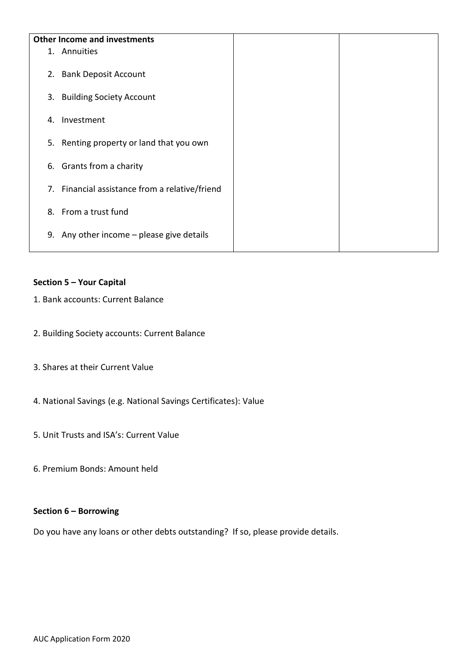| <b>Other Income and investments</b> |                                                |  |  |  |
|-------------------------------------|------------------------------------------------|--|--|--|
|                                     | 1. Annuities                                   |  |  |  |
|                                     | 2. Bank Deposit Account                        |  |  |  |
|                                     | 3. Building Society Account                    |  |  |  |
|                                     |                                                |  |  |  |
| 4.                                  | Investment                                     |  |  |  |
|                                     | 5. Renting property or land that you own       |  |  |  |
|                                     | 6. Grants from a charity                       |  |  |  |
|                                     | 7. Financial assistance from a relative/friend |  |  |  |
|                                     | 8. From a trust fund                           |  |  |  |
|                                     | 9. Any other income $-$ please give details    |  |  |  |

## **Section 5 – Your Capital**

- 1. Bank accounts: Current Balance
- 2. Building Society accounts: Current Balance
- 3. Shares at their Current Value
- 4. National Savings (e.g. National Savings Certificates): Value
- 5. Unit Trusts and ISA's: Current Value
- 6. Premium Bonds: Amount held

#### **Section 6 – Borrowing**

Do you have any loans or other debts outstanding? If so, please provide details.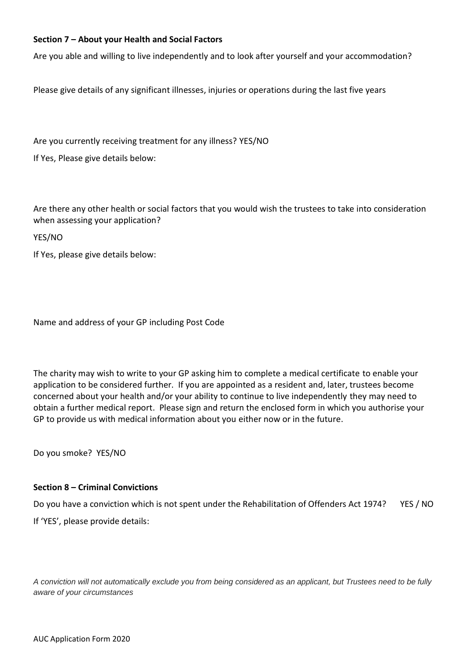## **Section 7 – About your Health and Social Factors**

Are you able and willing to live independently and to look after yourself and your accommodation?

Please give details of any significant illnesses, injuries or operations during the last five years

Are you currently receiving treatment for any illness? YES/NO

If Yes, Please give details below:

Are there any other health or social factors that you would wish the trustees to take into consideration when assessing your application?

YES/NO

If Yes, please give details below:

Name and address of your GP including Post Code

The charity may wish to write to your GP asking him to complete a medical certificate to enable your application to be considered further. If you are appointed as a resident and, later, trustees become concerned about your health and/or your ability to continue to live independently they may need to obtain a further medical report. Please sign and return the enclosed form in which you authorise your GP to provide us with medical information about you either now or in the future.

Do you smoke? YES/NO

#### **Section 8 – Criminal Convictions**

Do you have a conviction which is not spent under the Rehabilitation of Offenders Act 1974? YES / NO If 'YES', please provide details:

*A conviction will not automatically exclude you from being considered as an applicant, but Trustees need to be fully aware of your circumstances*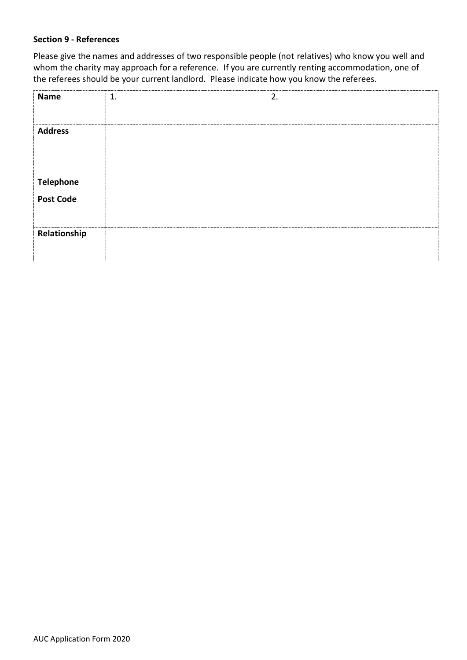## **Section 9 - References**

Please give the names and addresses of two responsible people (not relatives) who know you well and whom the charity may approach for a reference. If you are currently renting accommodation, one of the referees should be your current landlord. Please indicate how you know the referees.

| Name             | 1. | 2. |
|------------------|----|----|
|                  |    |    |
| <b>Address</b>   |    |    |
|                  |    |    |
|                  |    |    |
|                  |    |    |
| <b>Telephone</b> |    |    |
| <b>Post Code</b> |    |    |
|                  |    |    |
| Relationship     |    |    |
|                  |    |    |
|                  |    |    |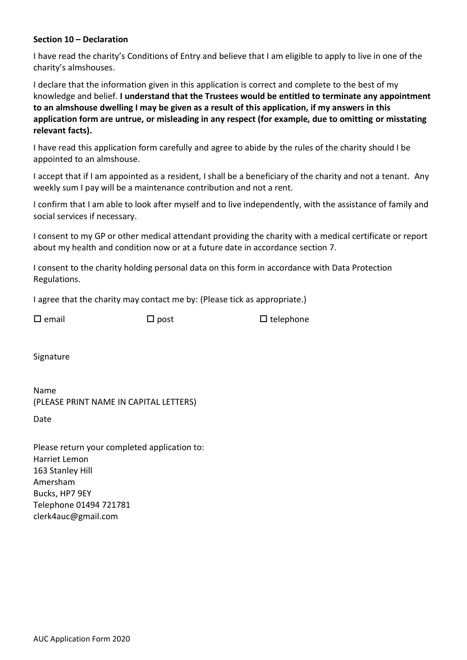### **Section 10 – Declaration**

I have read the charity's Conditions of Entry and believe that I am eligible to apply to live in one of the charity's almshouses.

I declare that the information given in this application is correct and complete to the best of my knowledge and belief. **I understand that the Trustees would be entitled to terminate any appointment to an almshouse dwelling I may be given as a result of this application, if my answers in this application form are untrue, or misleading in any respect (for example, due to omitting or misstating relevant facts).**

I have read this application form carefully and agree to abide by the rules of the charity should I be appointed to an almshouse.

I accept that if I am appointed as a resident, I shall be a beneficiary of the charity and not a tenant. Any weekly sum I pay will be a maintenance contribution and not a rent.

I confirm that I am able to look after myself and to live independently, with the assistance of family and social services if necessary.

I consent to my GP or other medical attendant providing the charity with a medical certificate or report about my health and condition now or at a future date in accordance section 7.

I consent to the charity holding personal data on this form in accordance with Data Protection Regulations.

I agree that the charity may contact me by: (Please tick as appropriate.)

 $\Box$  email  $\Box$  post  $\Box$  telephone

Signature

Name (PLEASE PRINT NAME IN CAPITAL LETTERS)

Date

Please return your completed application to: Harriet Lemon 163 Stanley Hill Amersham Bucks, HP7 9EY Telephone 01494 721781 clerk4auc@gmail.com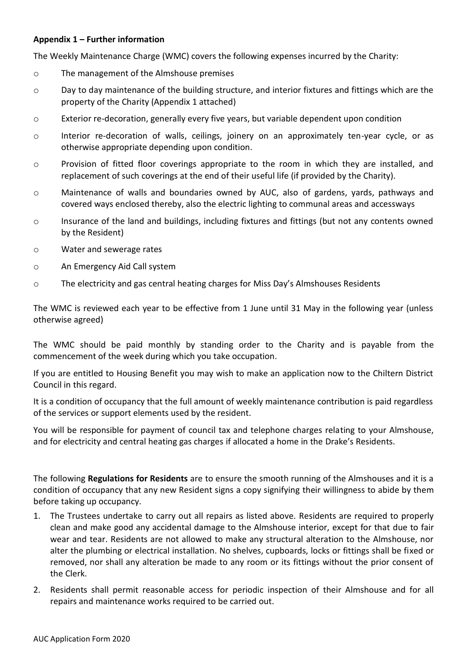## **Appendix 1 – Further information**

The Weekly Maintenance Charge (WMC) covers the following expenses incurred by the Charity:

- o The management of the Almshouse premises
- o Day to day maintenance of the building structure, and interior fixtures and fittings which are the property of the Charity (Appendix 1 attached)
- o Exterior re-decoration, generally every five years, but variable dependent upon condition
- o Interior re-decoration of walls, ceilings, joinery on an approximately ten-year cycle, or as otherwise appropriate depending upon condition.
- $\circ$  Provision of fitted floor coverings appropriate to the room in which they are installed, and replacement of such coverings at the end of their useful life (if provided by the Charity).
- o Maintenance of walls and boundaries owned by AUC, also of gardens, yards, pathways and covered ways enclosed thereby, also the electric lighting to communal areas and accessways
- o Insurance of the land and buildings, including fixtures and fittings (but not any contents owned by the Resident)
- o Water and sewerage rates
- o An Emergency Aid Call system
- o The electricity and gas central heating charges for Miss Day's Almshouses Residents

The WMC is reviewed each year to be effective from 1 June until 31 May in the following year (unless otherwise agreed)

The WMC should be paid monthly by standing order to the Charity and is payable from the commencement of the week during which you take occupation.

If you are entitled to Housing Benefit you may wish to make an application now to the Chiltern District Council in this regard.

It is a condition of occupancy that the full amount of weekly maintenance contribution is paid regardless of the services or support elements used by the resident.

You will be responsible for payment of council tax and telephone charges relating to your Almshouse, and for electricity and central heating gas charges if allocated a home in the Drake's Residents.

The following **Regulations for Residents** are to ensure the smooth running of the Almshouses and it is a condition of occupancy that any new Resident signs a copy signifying their willingness to abide by them before taking up occupancy.

- 1. The Trustees undertake to carry out all repairs as listed above. Residents are required to properly clean and make good any accidental damage to the Almshouse interior, except for that due to fair wear and tear. Residents are not allowed to make any structural alteration to the Almshouse, nor alter the plumbing or electrical installation. No shelves, cupboards, locks or fittings shall be fixed or removed, nor shall any alteration be made to any room or its fittings without the prior consent of the Clerk.
- 2. Residents shall permit reasonable access for periodic inspection of their Almshouse and for all repairs and maintenance works required to be carried out.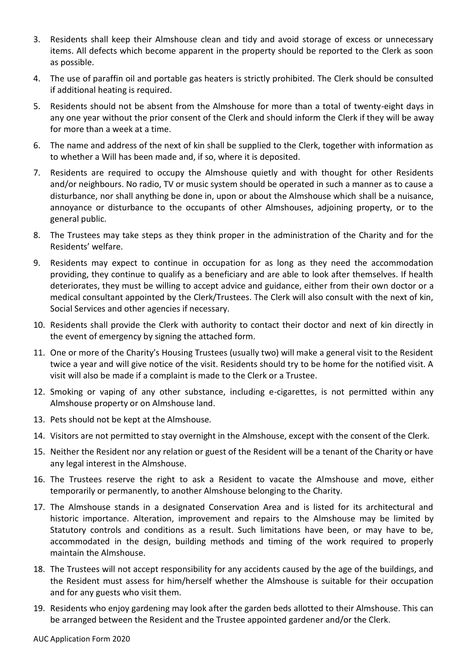- 3. Residents shall keep their Almshouse clean and tidy and avoid storage of excess or unnecessary items. All defects which become apparent in the property should be reported to the Clerk as soon as possible.
- 4. The use of paraffin oil and portable gas heaters is strictly prohibited. The Clerk should be consulted if additional heating is required.
- 5. Residents should not be absent from the Almshouse for more than a total of twenty-eight days in any one year without the prior consent of the Clerk and should inform the Clerk if they will be away for more than a week at a time.
- 6. The name and address of the next of kin shall be supplied to the Clerk, together with information as to whether a Will has been made and, if so, where it is deposited.
- 7. Residents are required to occupy the Almshouse quietly and with thought for other Residents and/or neighbours. No radio, TV or music system should be operated in such a manner as to cause a disturbance, nor shall anything be done in, upon or about the Almshouse which shall be a nuisance, annoyance or disturbance to the occupants of other Almshouses, adjoining property, or to the general public.
- 8. The Trustees may take steps as they think proper in the administration of the Charity and for the Residents' welfare.
- 9. Residents may expect to continue in occupation for as long as they need the accommodation providing, they continue to qualify as a beneficiary and are able to look after themselves. If health deteriorates, they must be willing to accept advice and guidance, either from their own doctor or a medical consultant appointed by the Clerk/Trustees. The Clerk will also consult with the next of kin, Social Services and other agencies if necessary.
- 10. Residents shall provide the Clerk with authority to contact their doctor and next of kin directly in the event of emergency by signing the attached form.
- 11. One or more of the Charity's Housing Trustees (usually two) will make a general visit to the Resident twice a year and will give notice of the visit. Residents should try to be home for the notified visit. A visit will also be made if a complaint is made to the Clerk or a Trustee.
- 12. Smoking or vaping of any other substance, including e-cigarettes, is not permitted within any Almshouse property or on Almshouse land.
- 13. Pets should not be kept at the Almshouse.
- 14. Visitors are not permitted to stay overnight in the Almshouse, except with the consent of the Clerk.
- 15. Neither the Resident nor any relation or guest of the Resident will be a tenant of the Charity or have any legal interest in the Almshouse.
- 16. The Trustees reserve the right to ask a Resident to vacate the Almshouse and move, either temporarily or permanently, to another Almshouse belonging to the Charity.
- 17. The Almshouse stands in a designated Conservation Area and is listed for its architectural and historic importance. Alteration, improvement and repairs to the Almshouse may be limited by Statutory controls and conditions as a result. Such limitations have been, or may have to be, accommodated in the design, building methods and timing of the work required to properly maintain the Almshouse.
- 18. The Trustees will not accept responsibility for any accidents caused by the age of the buildings, and the Resident must assess for him/herself whether the Almshouse is suitable for their occupation and for any guests who visit them.
- 19. Residents who enjoy gardening may look after the garden beds allotted to their Almshouse. This can be arranged between the Resident and the Trustee appointed gardener and/or the Clerk.